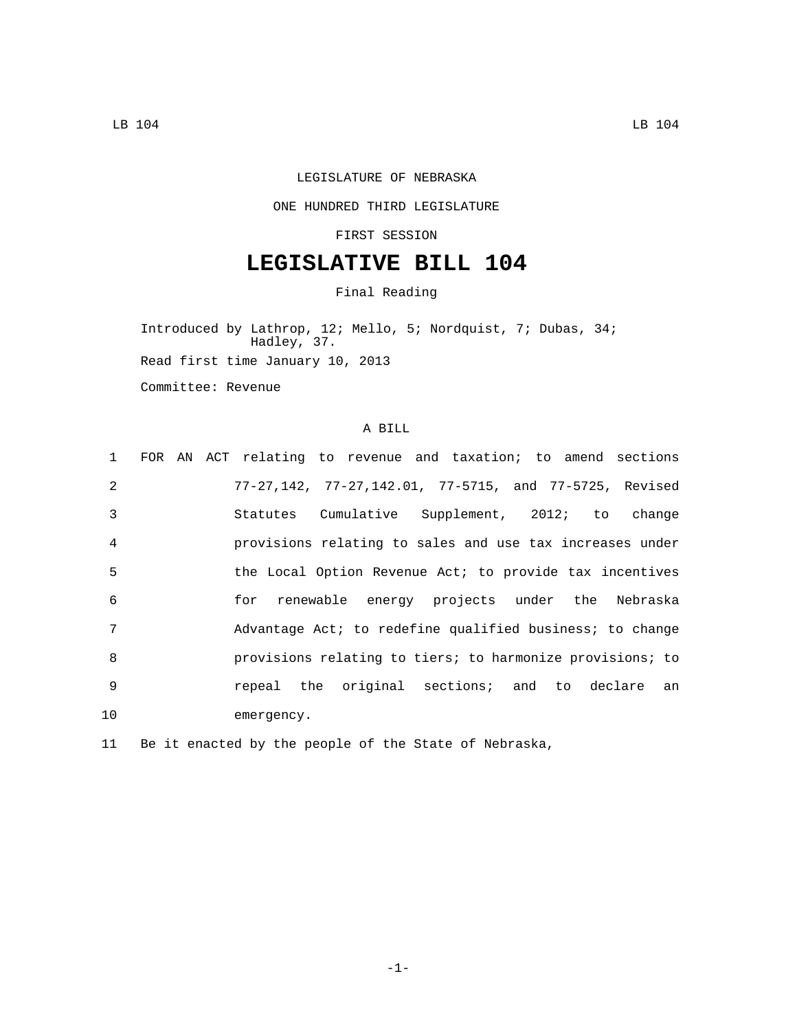## LEGISLATURE OF NEBRASKA

## ONE HUNDRED THIRD LEGISLATURE

FIRST SESSION

## **LEGISLATIVE BILL 104**

Final Reading

Introduced by Lathrop, 12; Mello, 5; Nordquist, 7; Dubas, 34; Hadley, 37. Read first time January 10, 2013

Committee: Revenue

## A BILL

| $\mathbf{1}$<br>FOR AN ACT relating to revenue and taxation; to amend sections |
|--------------------------------------------------------------------------------|
| $\mathfrak{D}$<br>77-27,142, 77-27,142.01, 77-5715, and 77-5725, Revised       |
| $\mathcal{E}$<br>Statutes Cumulative Supplement, 2012; to change               |
| 4<br>provisions relating to sales and use tax increases under                  |
| 5<br>the Local Option Revenue Act; to provide tax incentives                   |
| 6<br>for renewable energy projects under the Nebraska                          |
| 7<br>Advantage Act; to redefine qualified business; to change                  |
| $\mathsf{R}$<br>provisions relating to tiers; to harmonize provisions; to      |
| 9<br>repeal the original sections; and to declare<br>an                        |
| 10<br>emergency.                                                               |

11 Be it enacted by the people of the State of Nebraska,

-1-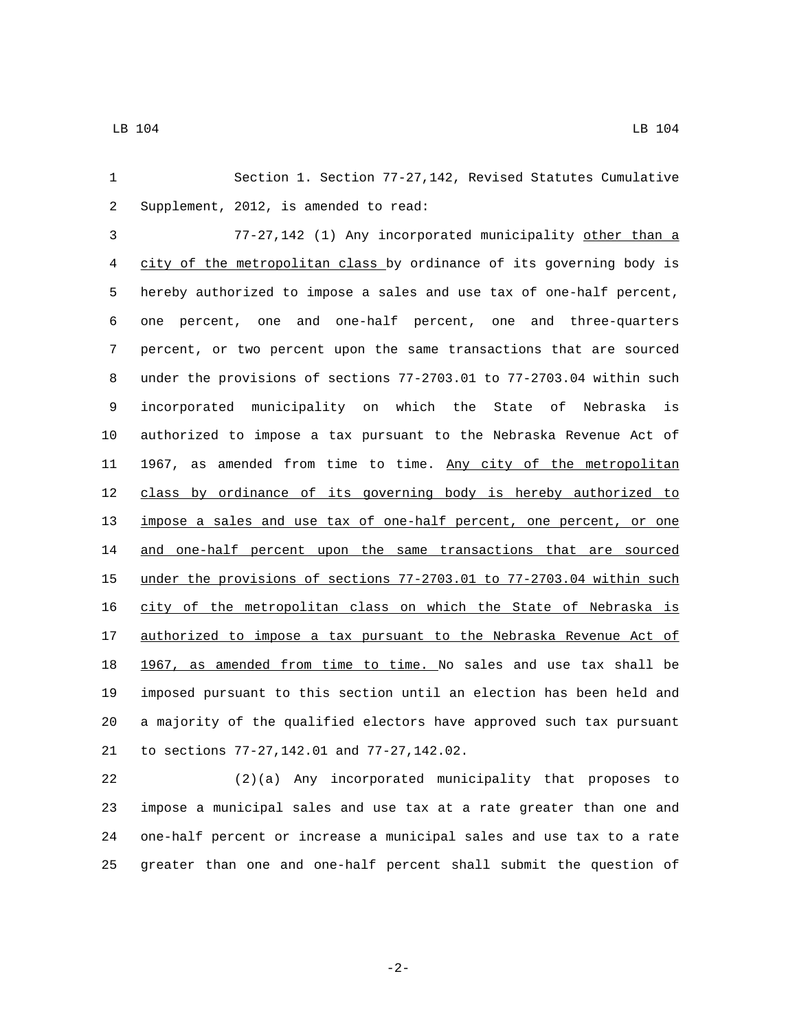Section 1. Section 77-27,142, Revised Statutes Cumulative 2 Supplement, 2012, is amended to read:

 77-27,142 (1) Any incorporated municipality other than a city of the metropolitan class by ordinance of its governing body is hereby authorized to impose a sales and use tax of one-half percent, one percent, one and one-half percent, one and three-quarters percent, or two percent upon the same transactions that are sourced under the provisions of sections 77-2703.01 to 77-2703.04 within such incorporated municipality on which the State of Nebraska is authorized to impose a tax pursuant to the Nebraska Revenue Act of 11 1967, as amended from time to time. Any city of the metropolitan class by ordinance of its governing body is hereby authorized to impose a sales and use tax of one-half percent, one percent, or one 14 and one-half percent upon the same transactions that are sourced under the provisions of sections 77-2703.01 to 77-2703.04 within such city of the metropolitan class on which the State of Nebraska is 17 authorized to impose a tax pursuant to the Nebraska Revenue Act of 1967, as amended from time to time. No sales and use tax shall be imposed pursuant to this section until an election has been held and a majority of the qualified electors have approved such tax pursuant 21 to sections 77-27, 142.01 and 77-27, 142.02.

 (2)(a) Any incorporated municipality that proposes to impose a municipal sales and use tax at a rate greater than one and one-half percent or increase a municipal sales and use tax to a rate greater than one and one-half percent shall submit the question of

-2-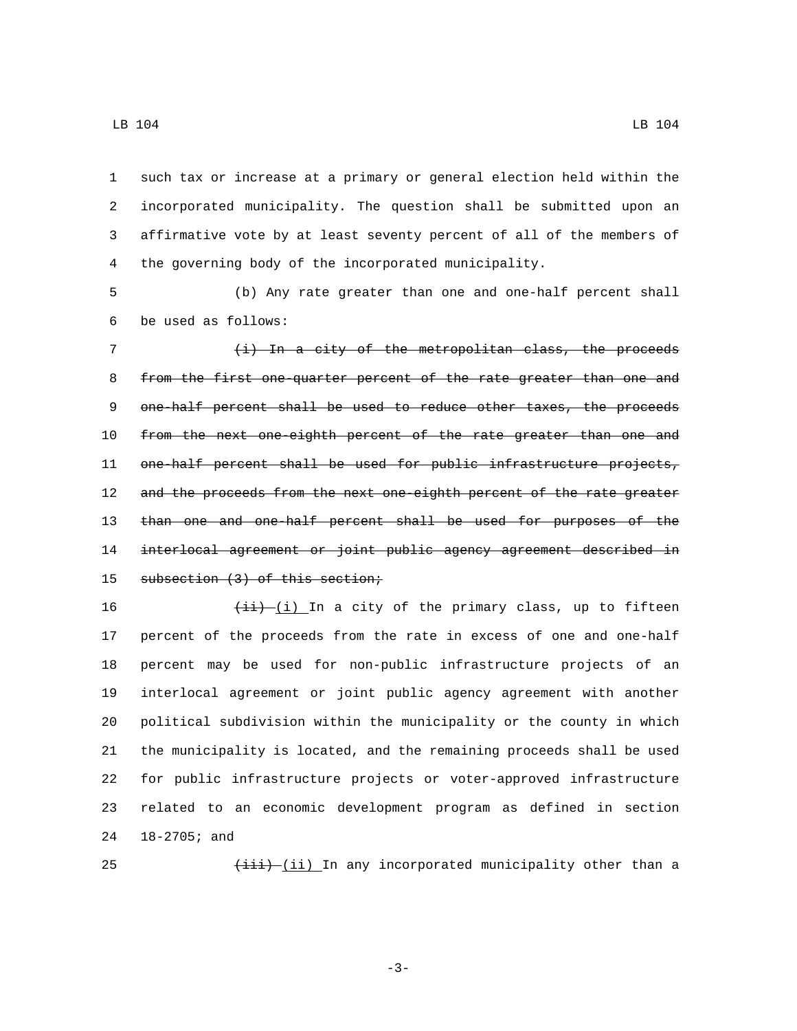such tax or increase at a primary or general election held within the incorporated municipality. The question shall be submitted upon an affirmative vote by at least seventy percent of all of the members of the governing body of the incorporated municipality.

5 (b) Any rate greater than one and one-half percent shall be used as follows:6

7 (i) In a city of the metropolitan class, the proceeds 8 from the first one-quarter percent of the rate greater than one and 9 one-half percent shall be used to reduce other taxes, the proceeds 10 from the next one-eighth percent of the rate greater than one and 11 one-half percent shall be used for public infrastructure projects, 12 and the proceeds from the next one eighth percent of the rate greater 13 than one and one-half percent shall be used for purposes of the 14 interlocal agreement or joint public agency agreement described in 15 subsection  $(3)$  of this section;

 $\left(\frac{1}{11} - 1\right)$  In a city of the primary class, up to fifteen percent of the proceeds from the rate in excess of one and one-half percent may be used for non-public infrastructure projects of an interlocal agreement or joint public agency agreement with another political subdivision within the municipality or the county in which the municipality is located, and the remaining proceeds shall be used for public infrastructure projects or voter-approved infrastructure related to an economic development program as defined in section 24 18-2705; and

25  $\left(\frac{1+i}{1}\right)$  (ii) In any incorporated municipality other than a

-3-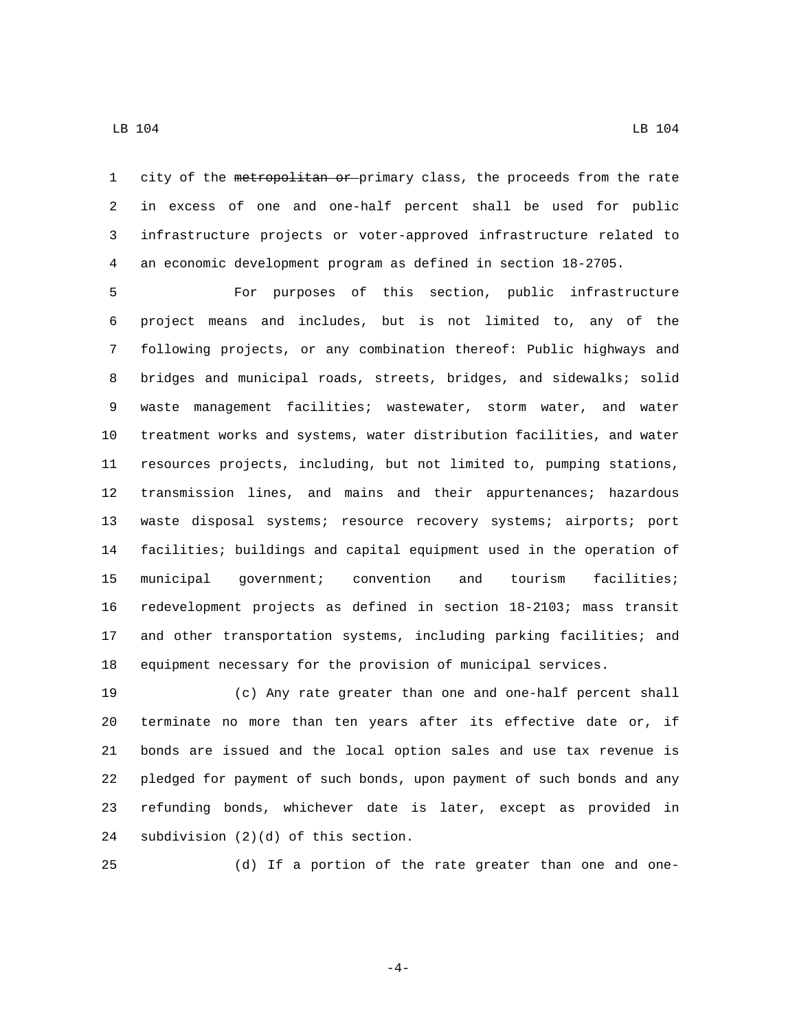$\text{LB}$  104 LB 104

1 city of the metropolitan or primary class, the proceeds from the rate in excess of one and one-half percent shall be used for public infrastructure projects or voter-approved infrastructure related to an economic development program as defined in section 18-2705.

 For purposes of this section, public infrastructure project means and includes, but is not limited to, any of the following projects, or any combination thereof: Public highways and bridges and municipal roads, streets, bridges, and sidewalks; solid waste management facilities; wastewater, storm water, and water treatment works and systems, water distribution facilities, and water resources projects, including, but not limited to, pumping stations, transmission lines, and mains and their appurtenances; hazardous waste disposal systems; resource recovery systems; airports; port facilities; buildings and capital equipment used in the operation of municipal government; convention and tourism facilities; redevelopment projects as defined in section 18-2103; mass transit and other transportation systems, including parking facilities; and equipment necessary for the provision of municipal services.

 (c) Any rate greater than one and one-half percent shall terminate no more than ten years after its effective date or, if bonds are issued and the local option sales and use tax revenue is pledged for payment of such bonds, upon payment of such bonds and any refunding bonds, whichever date is later, except as provided in 24 subdivision  $(2)(d)$  of this section.

(d) If a portion of the rate greater than one and one-

-4-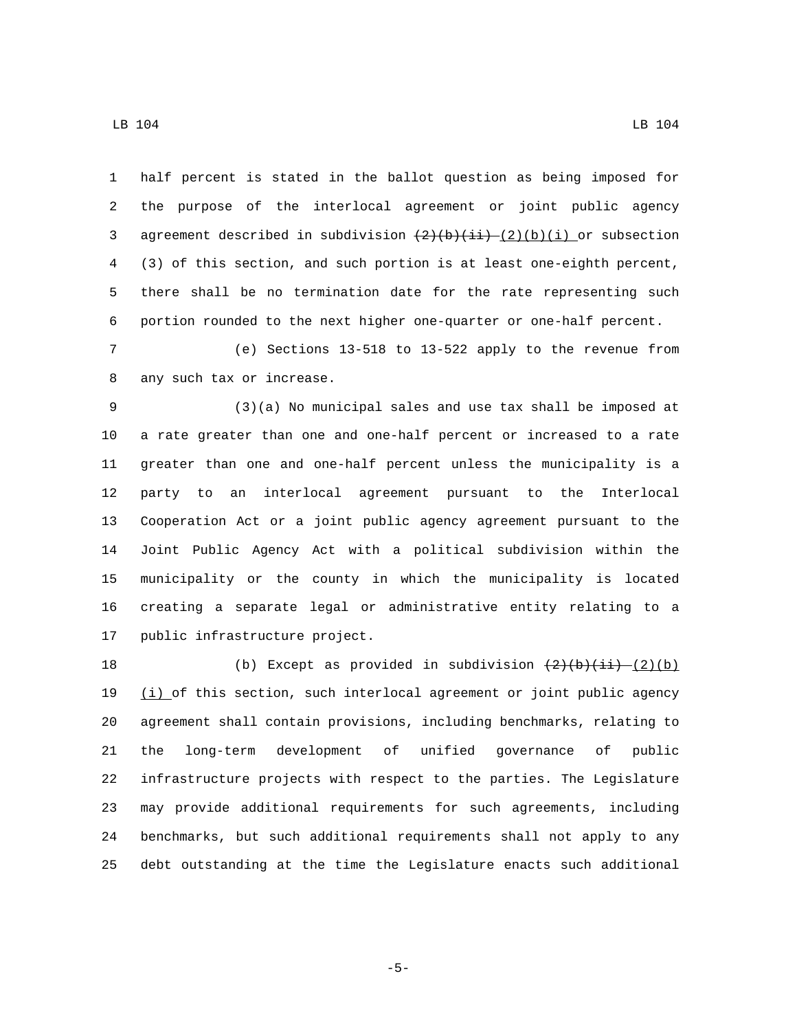half percent is stated in the ballot question as being imposed for the purpose of the interlocal agreement or joint public agency 3 agreement described in subdivision  $(2)(b)(ii)$  or subsection (3) of this section, and such portion is at least one-eighth percent, there shall be no termination date for the rate representing such

portion rounded to the next higher one-quarter or one-half percent.

 (e) Sections 13-518 to 13-522 apply to the revenue from 8 any such tax or increase.

 (3)(a) No municipal sales and use tax shall be imposed at a rate greater than one and one-half percent or increased to a rate greater than one and one-half percent unless the municipality is a party to an interlocal agreement pursuant to the Interlocal Cooperation Act or a joint public agency agreement pursuant to the Joint Public Agency Act with a political subdivision within the municipality or the county in which the municipality is located creating a separate legal or administrative entity relating to a 17 public infrastructure project.

18 (b) Except as provided in subdivision  $\left(2\right)\left(b\right)$  (b) (i) of this section, such interlocal agreement or joint public agency agreement shall contain provisions, including benchmarks, relating to the long-term development of unified governance of public infrastructure projects with respect to the parties. The Legislature may provide additional requirements for such agreements, including benchmarks, but such additional requirements shall not apply to any debt outstanding at the time the Legislature enacts such additional

 $\text{LB}$  104 LB 104

-5-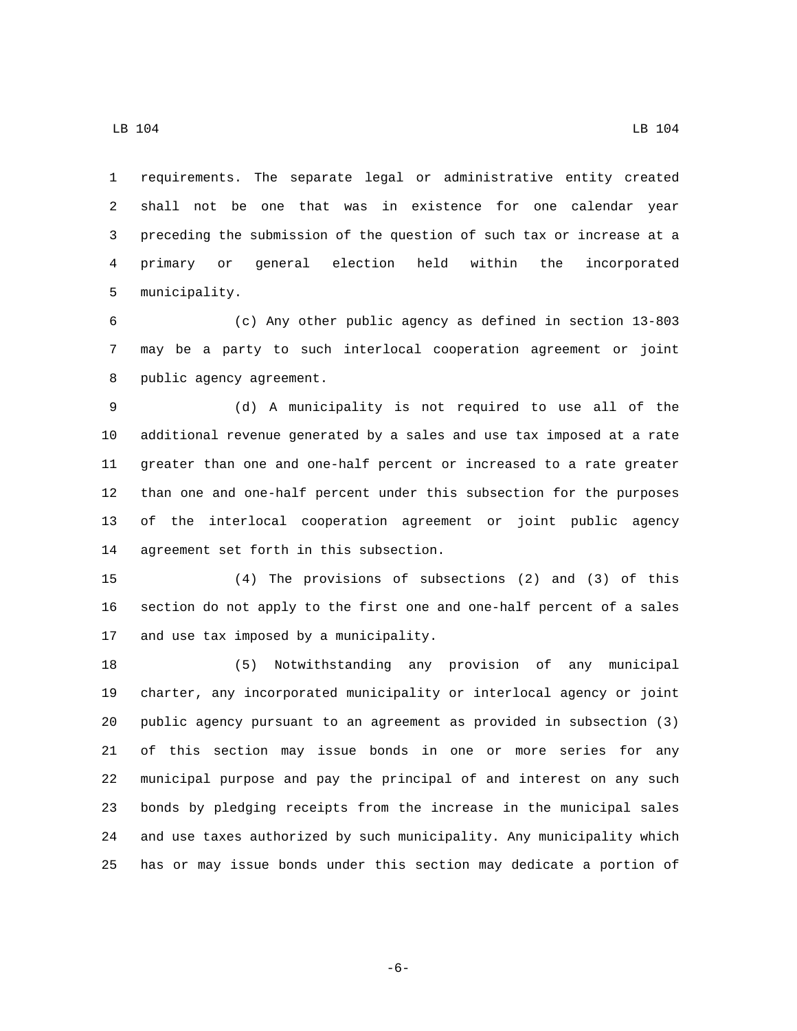requirements. The separate legal or administrative entity created shall not be one that was in existence for one calendar year preceding the submission of the question of such tax or increase at a primary or general election held within the incorporated 5 municipality.

 (c) Any other public agency as defined in section 13-803 may be a party to such interlocal cooperation agreement or joint 8 public agency agreement.

 (d) A municipality is not required to use all of the additional revenue generated by a sales and use tax imposed at a rate greater than one and one-half percent or increased to a rate greater than one and one-half percent under this subsection for the purposes of the interlocal cooperation agreement or joint public agency 14 agreement set forth in this subsection.

 (4) The provisions of subsections (2) and (3) of this section do not apply to the first one and one-half percent of a sales 17 and use tax imposed by a municipality.

 (5) Notwithstanding any provision of any municipal charter, any incorporated municipality or interlocal agency or joint public agency pursuant to an agreement as provided in subsection (3) of this section may issue bonds in one or more series for any municipal purpose and pay the principal of and interest on any such bonds by pledging receipts from the increase in the municipal sales and use taxes authorized by such municipality. Any municipality which has or may issue bonds under this section may dedicate a portion of

 $\text{LB}$  104 LB 104

-6-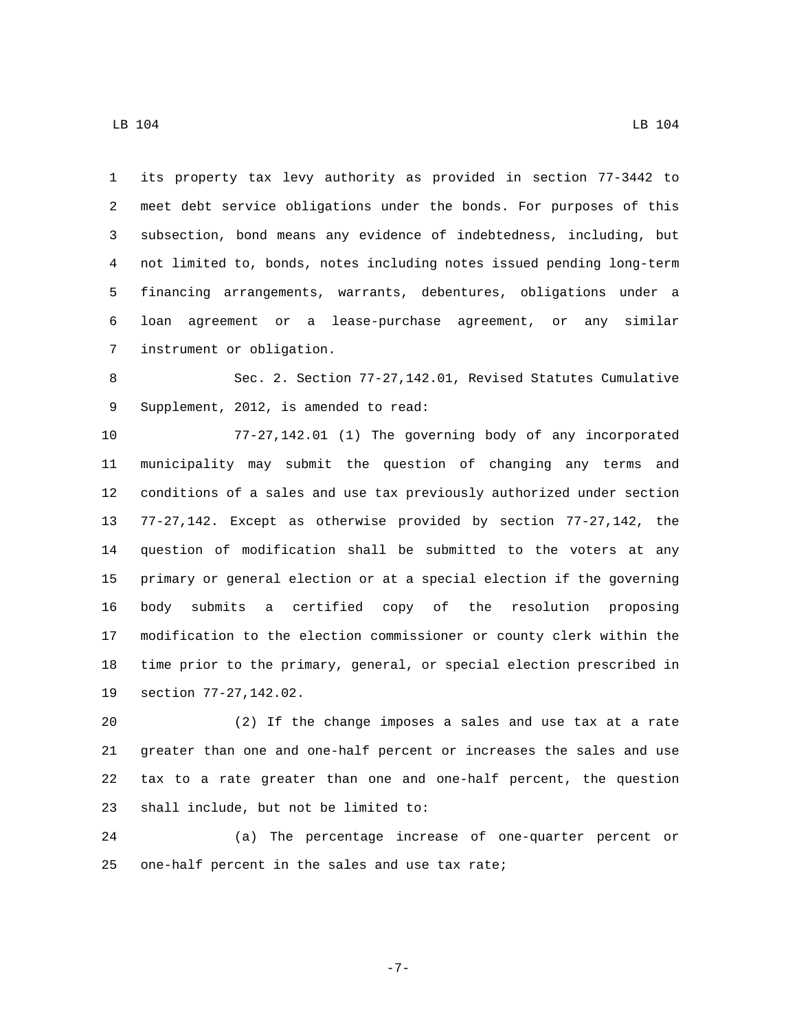its property tax levy authority as provided in section 77-3442 to meet debt service obligations under the bonds. For purposes of this subsection, bond means any evidence of indebtedness, including, but not limited to, bonds, notes including notes issued pending long-term financing arrangements, warrants, debentures, obligations under a loan agreement or a lease-purchase agreement, or any similar 7 instrument or obligation.

 Sec. 2. Section 77-27,142.01, Revised Statutes Cumulative 9 Supplement, 2012, is amended to read:

 77-27,142.01 (1) The governing body of any incorporated municipality may submit the question of changing any terms and conditions of a sales and use tax previously authorized under section 77-27,142. Except as otherwise provided by section 77-27,142, the question of modification shall be submitted to the voters at any primary or general election or at a special election if the governing body submits a certified copy of the resolution proposing modification to the election commissioner or county clerk within the time prior to the primary, general, or special election prescribed in 19 section 77-27, 142.02.

 (2) If the change imposes a sales and use tax at a rate greater than one and one-half percent or increases the sales and use tax to a rate greater than one and one-half percent, the question 23 shall include, but not be limited to:

 (a) The percentage increase of one-quarter percent or one-half percent in the sales and use tax rate;

 $\text{LB}$  104 LB 104

-7-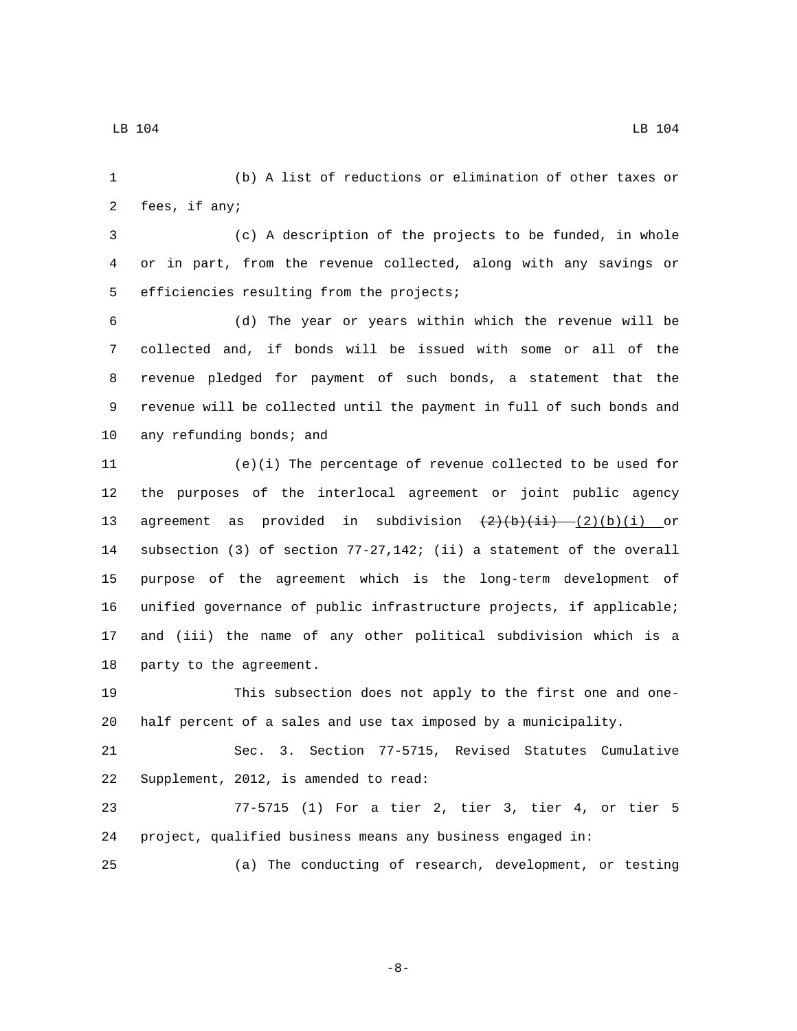(b) A list of reductions or elimination of other taxes or 2 fees, if any;

 (c) A description of the projects to be funded, in whole or in part, from the revenue collected, along with any savings or 5 efficiencies resulting from the projects;

 (d) The year or years within which the revenue will be collected and, if bonds will be issued with some or all of the revenue pledged for payment of such bonds, a statement that the revenue will be collected until the payment in full of such bonds and 10 any refunding bonds; and

 (e)(i) The percentage of revenue collected to be used for the purposes of the interlocal agreement or joint public agency 13 agreement as provided in subdivision  $(2)(b)(ii)$  or subsection (3) of section 77-27,142; (ii) a statement of the overall purpose of the agreement which is the long-term development of unified governance of public infrastructure projects, if applicable; and (iii) the name of any other political subdivision which is a 18 party to the agreement.

 This subsection does not apply to the first one and one-half percent of a sales and use tax imposed by a municipality.

 Sec. 3. Section 77-5715, Revised Statutes Cumulative 22 Supplement, 2012, is amended to read:

 77-5715 (1) For a tier 2, tier 3, tier 4, or tier 5 project, qualified business means any business engaged in:

(a) The conducting of research, development, or testing

-8-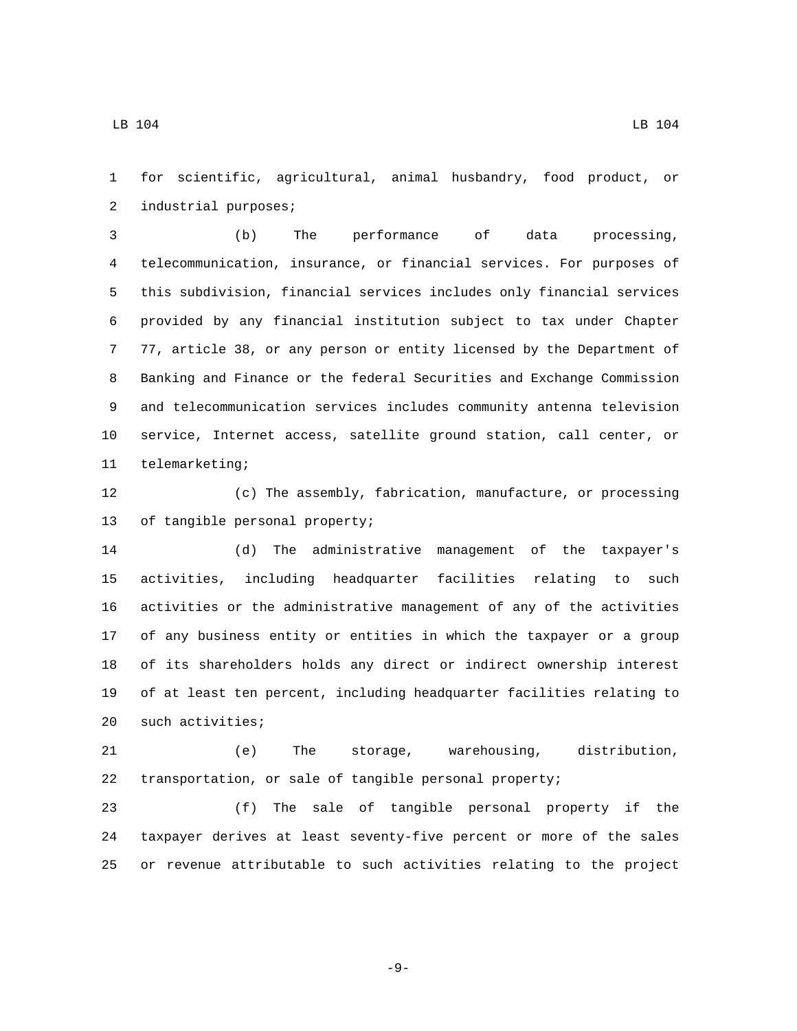for scientific, agricultural, animal husbandry, food product, or 2 industrial purposes;

 (b) The performance of data processing, telecommunication, insurance, or financial services. For purposes of this subdivision, financial services includes only financial services provided by any financial institution subject to tax under Chapter 77, article 38, or any person or entity licensed by the Department of Banking and Finance or the federal Securities and Exchange Commission and telecommunication services includes community antenna television service, Internet access, satellite ground station, call center, or 11 telemarketing;

 (c) The assembly, fabrication, manufacture, or processing 13 of tangible personal property;

 (d) The administrative management of the taxpayer's activities, including headquarter facilities relating to such activities or the administrative management of any of the activities of any business entity or entities in which the taxpayer or a group of its shareholders holds any direct or indirect ownership interest of at least ten percent, including headquarter facilities relating to 20 such activities;

 (e) The storage, warehousing, distribution, transportation, or sale of tangible personal property;

 (f) The sale of tangible personal property if the taxpayer derives at least seventy-five percent or more of the sales or revenue attributable to such activities relating to the project

-9-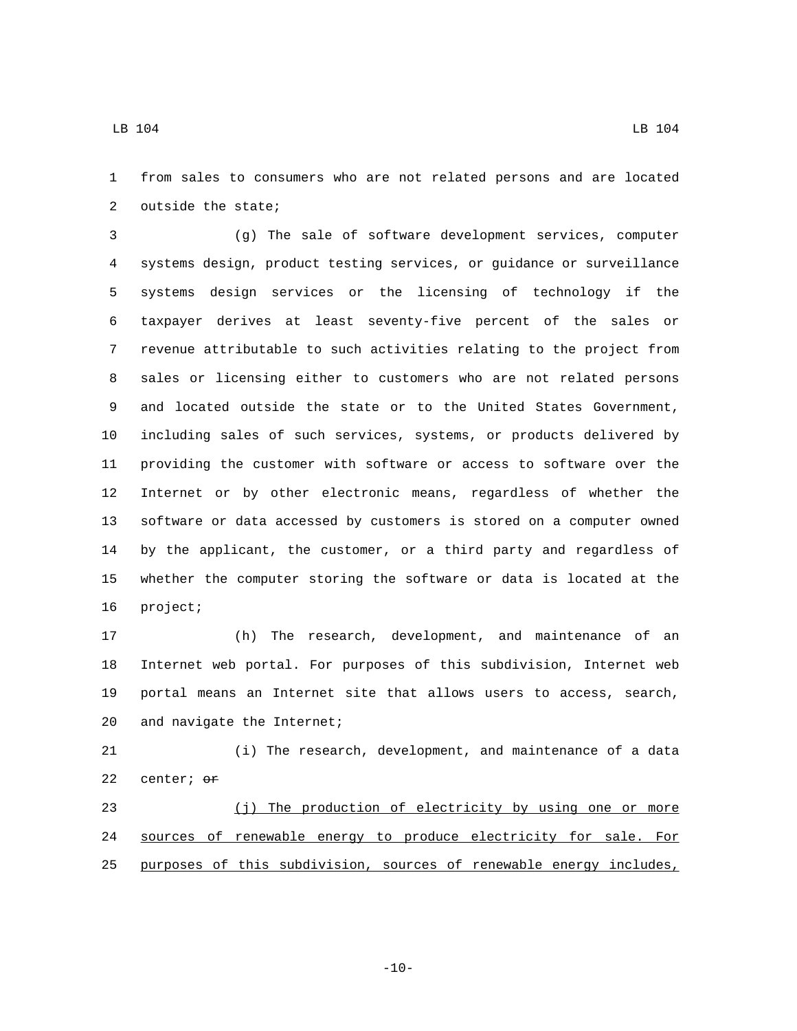from sales to consumers who are not related persons and are located 2 outside the state;

 (g) The sale of software development services, computer systems design, product testing services, or guidance or surveillance systems design services or the licensing of technology if the taxpayer derives at least seventy-five percent of the sales or revenue attributable to such activities relating to the project from sales or licensing either to customers who are not related persons and located outside the state or to the United States Government, including sales of such services, systems, or products delivered by providing the customer with software or access to software over the Internet or by other electronic means, regardless of whether the software or data accessed by customers is stored on a computer owned by the applicant, the customer, or a third party and regardless of whether the computer storing the software or data is located at the 16 project;

 (h) The research, development, and maintenance of an Internet web portal. For purposes of this subdivision, Internet web portal means an Internet site that allows users to access, search, 20 and navigate the Internet;

 (i) The research, development, and maintenance of a data 22 center;  $\sigma$ r

 (j) The production of electricity by using one or more sources of renewable energy to produce electricity for sale. For purposes of this subdivision, sources of renewable energy includes,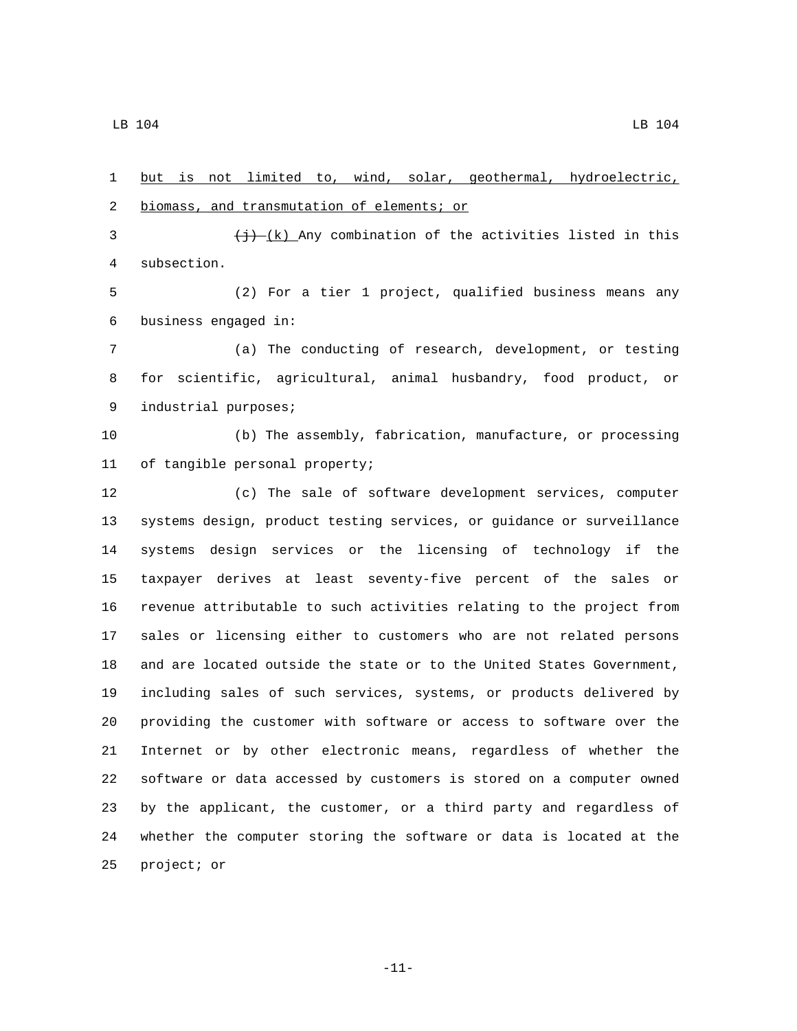but is not limited to, wind, solar, geothermal, hydroelectric, 2 biomass, and transmutation of elements; or 3 (i)  $(k)$  Any combination of the activities listed in this subsection.4 (2) For a tier 1 project, qualified business means any business engaged in:6 (a) The conducting of research, development, or testing for scientific, agricultural, animal husbandry, food product, or 9 industrial purposes; (b) The assembly, fabrication, manufacture, or processing 11 of tangible personal property; (c) The sale of software development services, computer systems design, product testing services, or guidance or surveillance systems design services or the licensing of technology if the taxpayer derives at least seventy-five percent of the sales or revenue attributable to such activities relating to the project from sales or licensing either to customers who are not related persons and are located outside the state or to the United States Government, including sales of such services, systems, or products delivered by providing the customer with software or access to software over the Internet or by other electronic means, regardless of whether the software or data accessed by customers is stored on a computer owned by the applicant, the customer, or a third party and regardless of whether the computer storing the software or data is located at the 25 project; or

-11-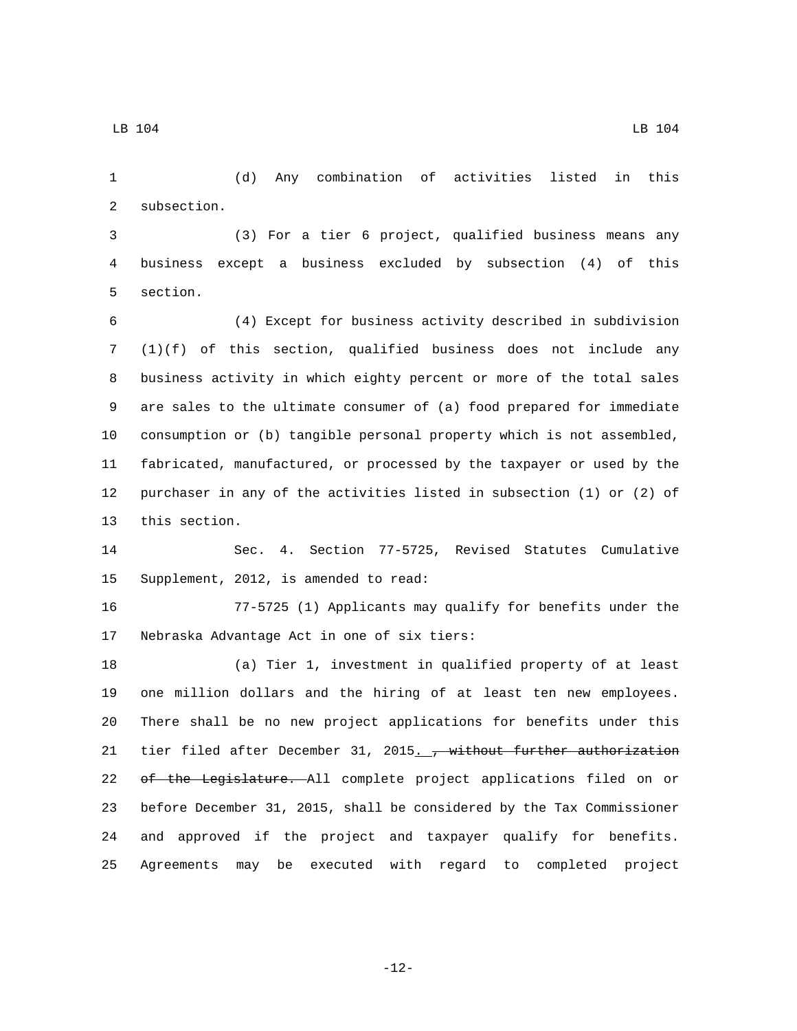$\text{LB}$  104 LB 104

 (d) Any combination of activities listed in this 2 subsection.

 (3) For a tier 6 project, qualified business means any business except a business excluded by subsection (4) of this 5 section.

 (4) Except for business activity described in subdivision (1)(f) of this section, qualified business does not include any business activity in which eighty percent or more of the total sales are sales to the ultimate consumer of (a) food prepared for immediate consumption or (b) tangible personal property which is not assembled, fabricated, manufactured, or processed by the taxpayer or used by the purchaser in any of the activities listed in subsection (1) or (2) of 13 this section.

 Sec. 4. Section 77-5725, Revised Statutes Cumulative 15 Supplement, 2012, is amended to read:

 77-5725 (1) Applicants may qualify for benefits under the 17 Nebraska Advantage Act in one of six tiers:

 (a) Tier 1, investment in qualified property of at least one million dollars and the hiring of at least ten new employees. There shall be no new project applications for benefits under this 21 tier filed after December 31, 2015. , without further authorization 22 of the Legislature. All complete project applications filed on or before December 31, 2015, shall be considered by the Tax Commissioner and approved if the project and taxpayer qualify for benefits. Agreements may be executed with regard to completed project

-12-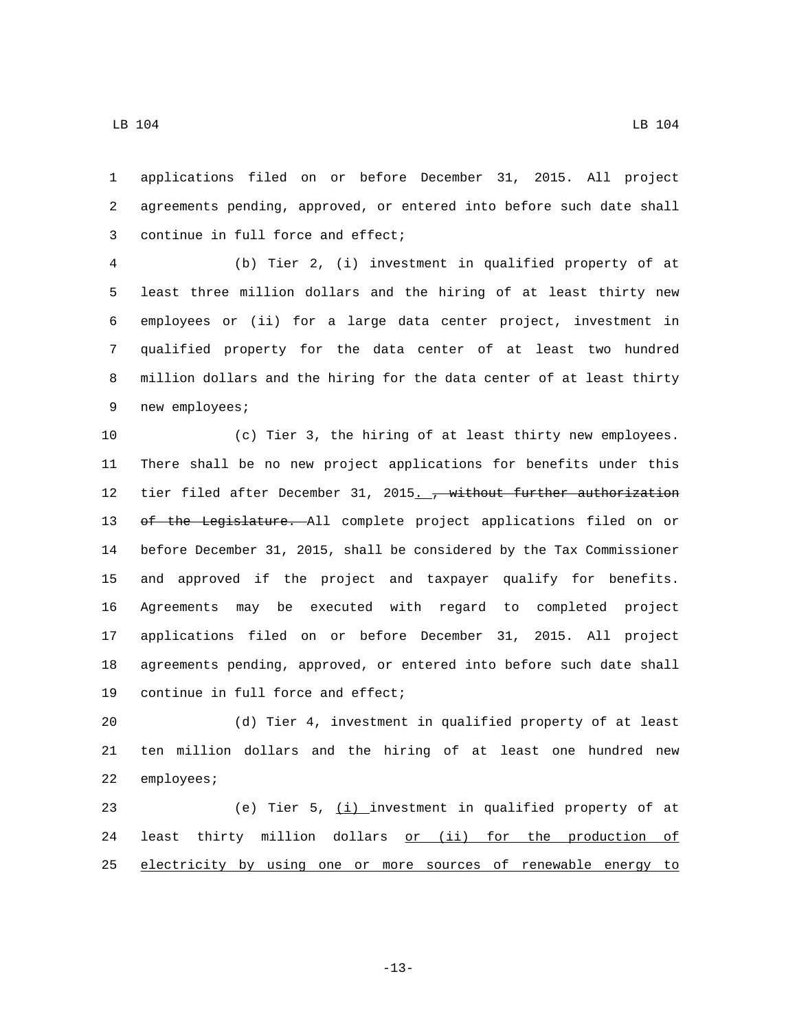$\text{LB}$  104 LB 104

 applications filed on or before December 31, 2015. All project agreements pending, approved, or entered into before such date shall 3 continue in full force and effect;

 (b) Tier 2, (i) investment in qualified property of at least three million dollars and the hiring of at least thirty new employees or (ii) for a large data center project, investment in qualified property for the data center of at least two hundred million dollars and the hiring for the data center of at least thirty 9 new employees;

 (c) Tier 3, the hiring of at least thirty new employees. There shall be no new project applications for benefits under this 12 tier filed after December 31, 2015. , without further authorization 13 of the Legislature. All complete project applications filed on or before December 31, 2015, shall be considered by the Tax Commissioner and approved if the project and taxpayer qualify for benefits. Agreements may be executed with regard to completed project applications filed on or before December 31, 2015. All project agreements pending, approved, or entered into before such date shall 19 continue in full force and effect;

 (d) Tier 4, investment in qualified property of at least ten million dollars and the hiring of at least one hundred new 22 employees;

 (e) Tier 5, (i) investment in qualified property of at 24 least thirty million dollars or (ii) for the production of electricity by using one or more sources of renewable energy to

-13-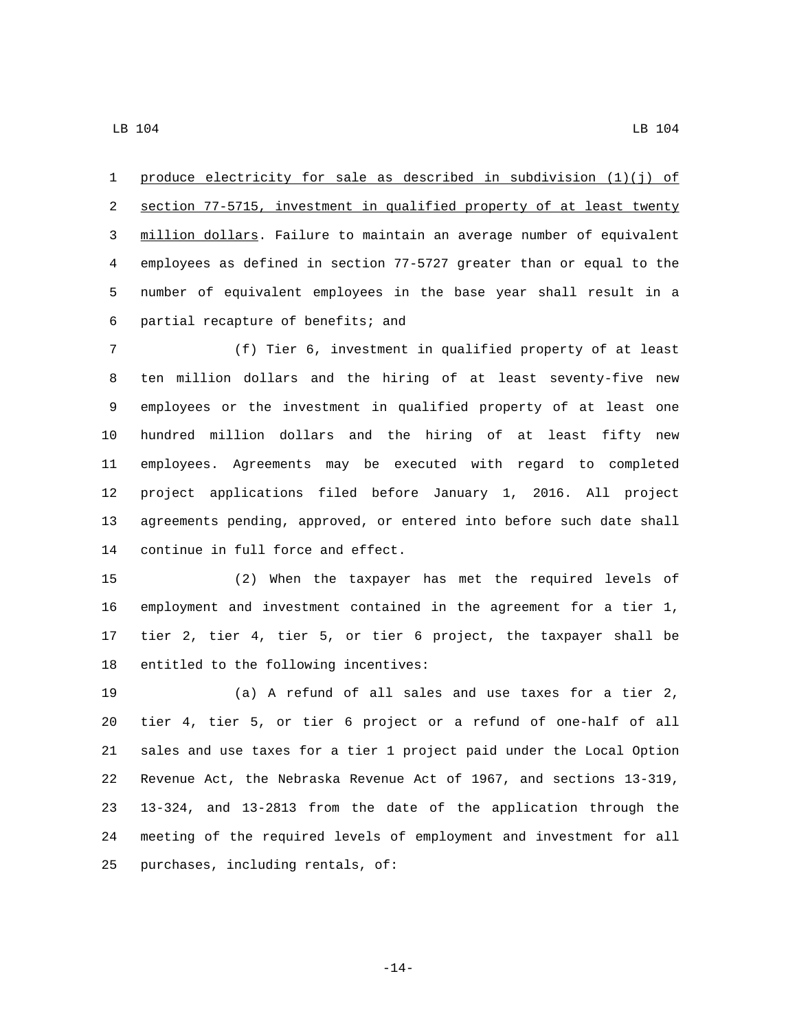produce electricity for sale as described in subdivision (1)(j) of section 77-5715, investment in qualified property of at least twenty million dollars. Failure to maintain an average number of equivalent employees as defined in section 77-5727 greater than or equal to the number of equivalent employees in the base year shall result in a 6 partial recapture of benefits; and

 (f) Tier 6, investment in qualified property of at least ten million dollars and the hiring of at least seventy-five new employees or the investment in qualified property of at least one hundred million dollars and the hiring of at least fifty new employees. Agreements may be executed with regard to completed project applications filed before January 1, 2016. All project agreements pending, approved, or entered into before such date shall 14 continue in full force and effect.

 (2) When the taxpayer has met the required levels of employment and investment contained in the agreement for a tier 1, tier 2, tier 4, tier 5, or tier 6 project, the taxpayer shall be 18 entitled to the following incentives:

 (a) A refund of all sales and use taxes for a tier 2, tier 4, tier 5, or tier 6 project or a refund of one-half of all sales and use taxes for a tier 1 project paid under the Local Option Revenue Act, the Nebraska Revenue Act of 1967, and sections 13-319, 13-324, and 13-2813 from the date of the application through the meeting of the required levels of employment and investment for all 25 purchases, including rentals,  $of:$ 

-14-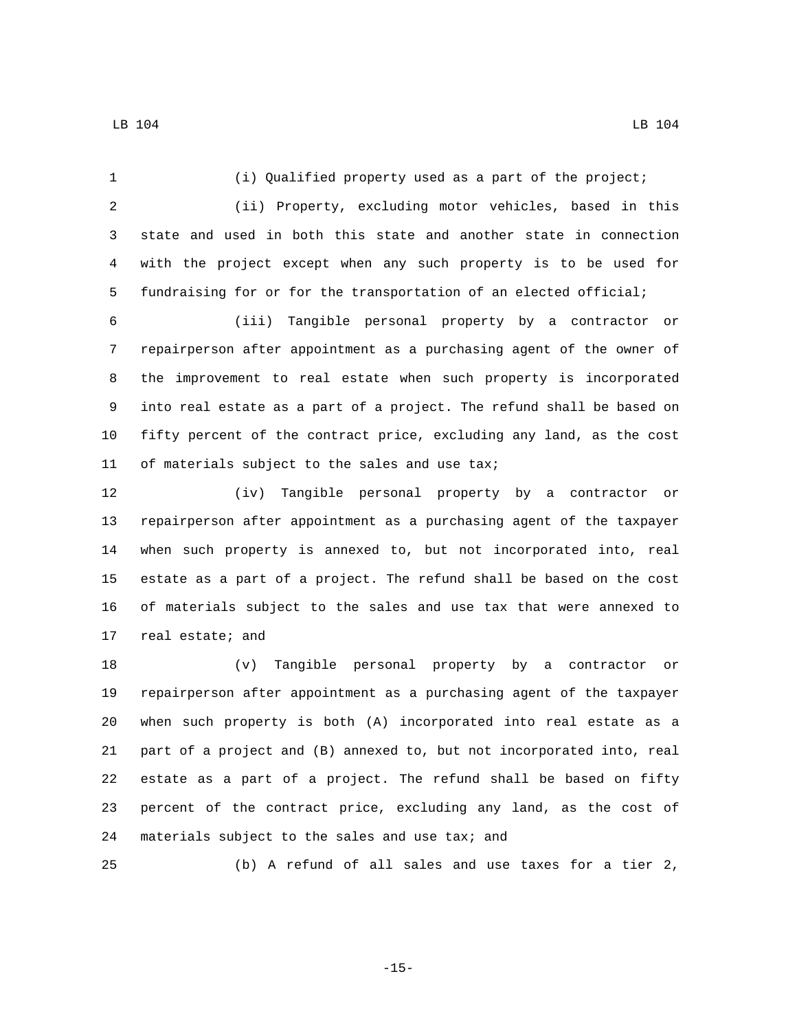$\text{LB}$  104 LB 104

 (i) Qualified property used as a part of the project; (ii) Property, excluding motor vehicles, based in this state and used in both this state and another state in connection with the project except when any such property is to be used for fundraising for or for the transportation of an elected official; (iii) Tangible personal property by a contractor or repairperson after appointment as a purchasing agent of the owner of the improvement to real estate when such property is incorporated into real estate as a part of a project. The refund shall be based on fifty percent of the contract price, excluding any land, as the cost 11 of materials subject to the sales and use tax; (iv) Tangible personal property by a contractor or repairperson after appointment as a purchasing agent of the taxpayer when such property is annexed to, but not incorporated into, real estate as a part of a project. The refund shall be based on the cost of materials subject to the sales and use tax that were annexed to 17 real estate; and

 (v) Tangible personal property by a contractor or repairperson after appointment as a purchasing agent of the taxpayer when such property is both (A) incorporated into real estate as a part of a project and (B) annexed to, but not incorporated into, real estate as a part of a project. The refund shall be based on fifty percent of the contract price, excluding any land, as the cost of 24 materials subject to the sales and use  $\text{tax }i$  and

(b) A refund of all sales and use taxes for a tier 2,

-15-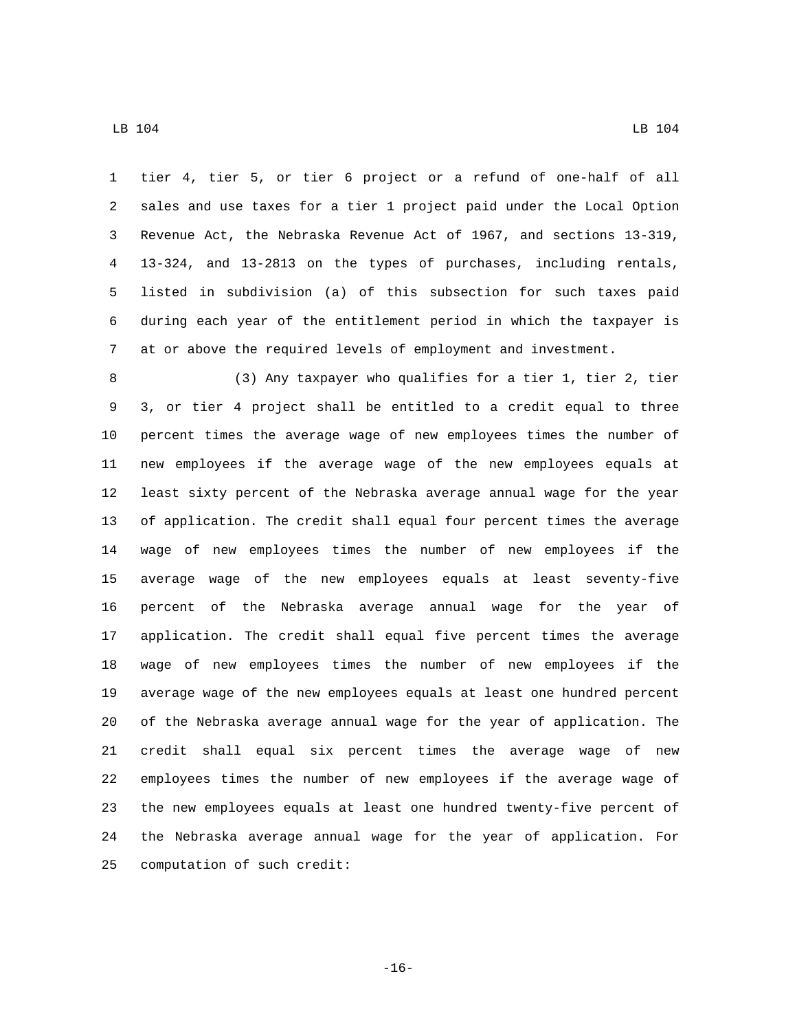tier 4, tier 5, or tier 6 project or a refund of one-half of all sales and use taxes for a tier 1 project paid under the Local Option Revenue Act, the Nebraska Revenue Act of 1967, and sections 13-319, 13-324, and 13-2813 on the types of purchases, including rentals, listed in subdivision (a) of this subsection for such taxes paid during each year of the entitlement period in which the taxpayer is at or above the required levels of employment and investment.

 (3) Any taxpayer who qualifies for a tier 1, tier 2, tier 3, or tier 4 project shall be entitled to a credit equal to three percent times the average wage of new employees times the number of new employees if the average wage of the new employees equals at least sixty percent of the Nebraska average annual wage for the year of application. The credit shall equal four percent times the average wage of new employees times the number of new employees if the average wage of the new employees equals at least seventy-five percent of the Nebraska average annual wage for the year of application. The credit shall equal five percent times the average wage of new employees times the number of new employees if the average wage of the new employees equals at least one hundred percent of the Nebraska average annual wage for the year of application. The credit shall equal six percent times the average wage of new employees times the number of new employees if the average wage of the new employees equals at least one hundred twenty-five percent of the Nebraska average annual wage for the year of application. For 25 computation of such credit: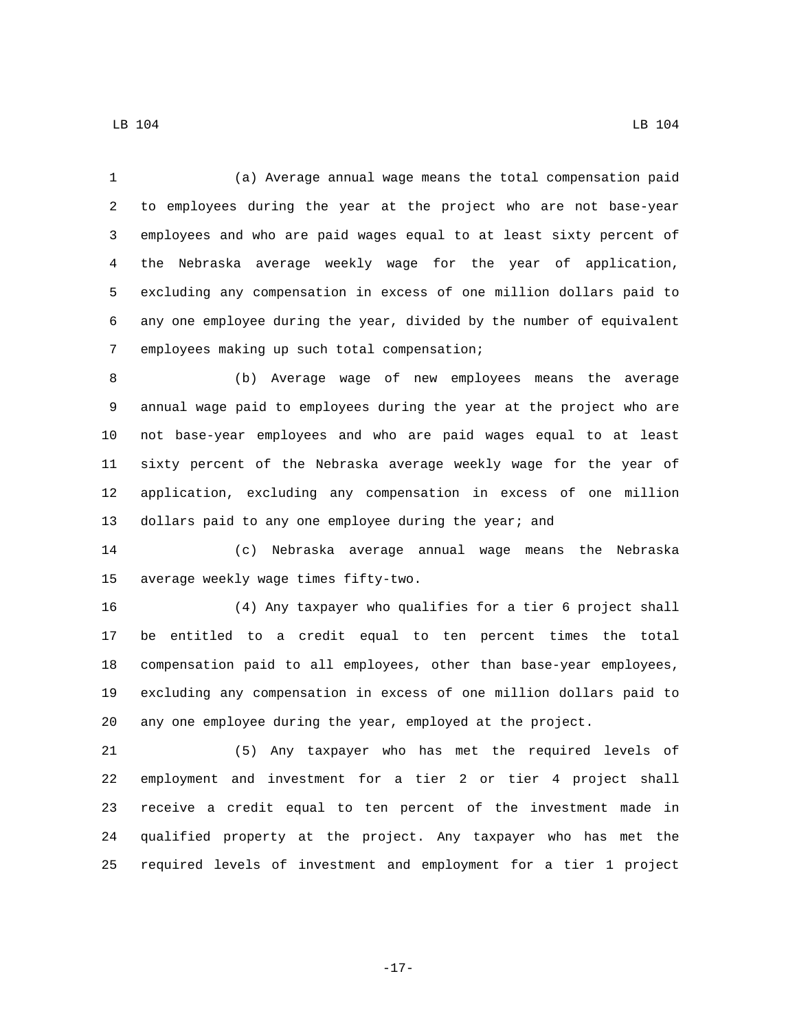(a) Average annual wage means the total compensation paid to employees during the year at the project who are not base-year employees and who are paid wages equal to at least sixty percent of the Nebraska average weekly wage for the year of application, excluding any compensation in excess of one million dollars paid to any one employee during the year, divided by the number of equivalent 7 employees making up such total compensation;

 (b) Average wage of new employees means the average annual wage paid to employees during the year at the project who are not base-year employees and who are paid wages equal to at least sixty percent of the Nebraska average weekly wage for the year of application, excluding any compensation in excess of one million dollars paid to any one employee during the year; and

 (c) Nebraska average annual wage means the Nebraska 15 average weekly wage times fifty-two.

 (4) Any taxpayer who qualifies for a tier 6 project shall be entitled to a credit equal to ten percent times the total compensation paid to all employees, other than base-year employees, excluding any compensation in excess of one million dollars paid to any one employee during the year, employed at the project.

 (5) Any taxpayer who has met the required levels of employment and investment for a tier 2 or tier 4 project shall receive a credit equal to ten percent of the investment made in qualified property at the project. Any taxpayer who has met the required levels of investment and employment for a tier 1 project

 $\text{LB}$  104 LB 104

-17-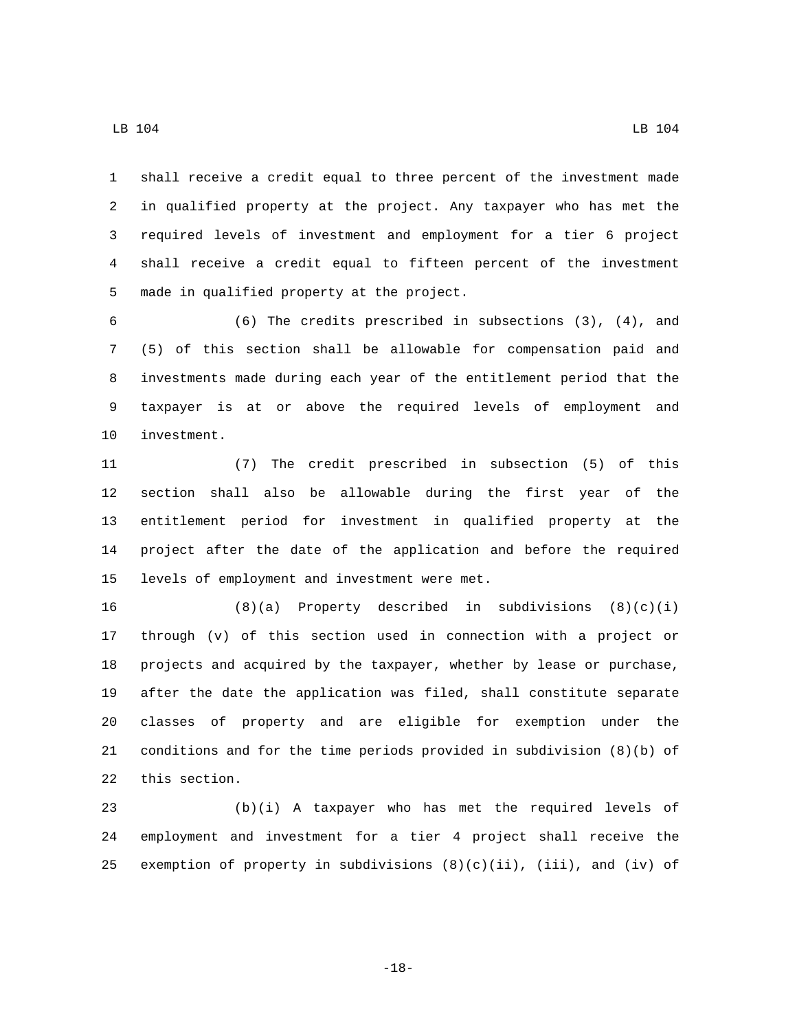shall receive a credit equal to three percent of the investment made in qualified property at the project. Any taxpayer who has met the required levels of investment and employment for a tier 6 project shall receive a credit equal to fifteen percent of the investment 5 made in qualified property at the project.

 (6) The credits prescribed in subsections (3), (4), and (5) of this section shall be allowable for compensation paid and investments made during each year of the entitlement period that the taxpayer is at or above the required levels of employment and 10 investment.

 (7) The credit prescribed in subsection (5) of this section shall also be allowable during the first year of the entitlement period for investment in qualified property at the project after the date of the application and before the required 15 levels of employment and investment were met.

 (8)(a) Property described in subdivisions (8)(c)(i) through (v) of this section used in connection with a project or projects and acquired by the taxpayer, whether by lease or purchase, after the date the application was filed, shall constitute separate classes of property and are eligible for exemption under the conditions and for the time periods provided in subdivision (8)(b) of 22 this section.

 (b)(i) A taxpayer who has met the required levels of employment and investment for a tier 4 project shall receive the 25 exemption of property in subdivisions  $(8)(c)(ii)$ , (iii), and (iv) of

 $\text{LB}$  104 LB 104

-18-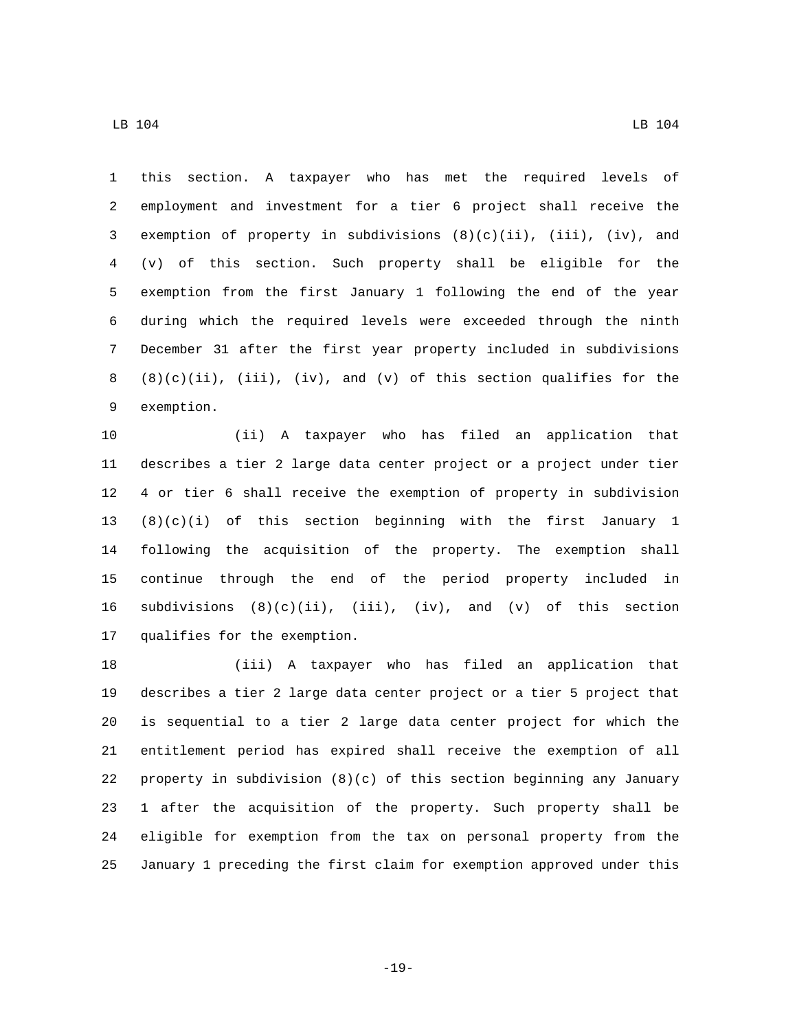this section. A taxpayer who has met the required levels of employment and investment for a tier 6 project shall receive the 3 exemption of property in subdivisions  $(8)(c)(ii)$ ,  $(iii)$ ,  $(iv)$ , and (v) of this section. Such property shall be eligible for the exemption from the first January 1 following the end of the year during which the required levels were exceeded through the ninth December 31 after the first year property included in subdivisions  $(8)(c)(ii)$ , (iii), (iv), and (v) of this section qualifies for the 9 exemption.

 (ii) A taxpayer who has filed an application that describes a tier 2 large data center project or a project under tier 4 or tier 6 shall receive the exemption of property in subdivision (8)(c)(i) of this section beginning with the first January 1 following the acquisition of the property. The exemption shall continue through the end of the period property included in 16 subdivisions  $(8)(c)(ii)$ , (iii), (iv), and (v) of this section 17 qualifies for the exemption.

 (iii) A taxpayer who has filed an application that describes a tier 2 large data center project or a tier 5 project that is sequential to a tier 2 large data center project for which the entitlement period has expired shall receive the exemption of all 22 property in subdivision  $(8)(c)$  of this section beginning any January 1 after the acquisition of the property. Such property shall be eligible for exemption from the tax on personal property from the January 1 preceding the first claim for exemption approved under this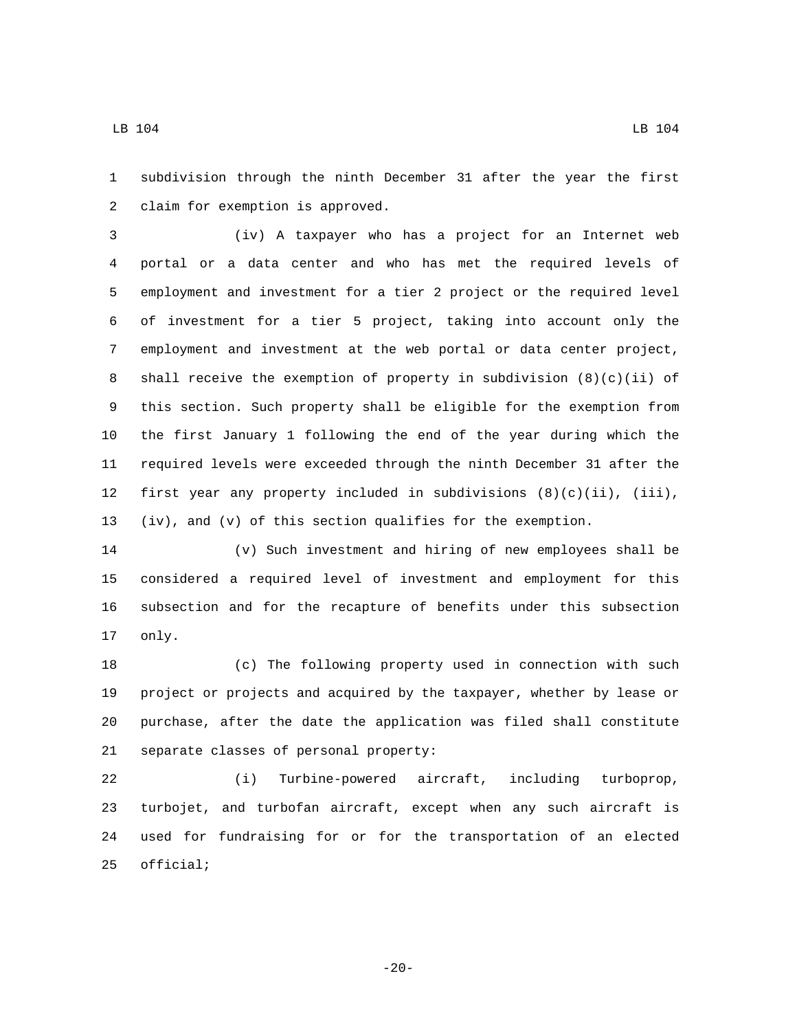subdivision through the ninth December 31 after the year the first 2 claim for exemption is approved.

 (iv) A taxpayer who has a project for an Internet web portal or a data center and who has met the required levels of employment and investment for a tier 2 project or the required level of investment for a tier 5 project, taking into account only the employment and investment at the web portal or data center project, 8 shall receive the exemption of property in subdivision  $(8)(c)(ii)$  of this section. Such property shall be eligible for the exemption from the first January 1 following the end of the year during which the required levels were exceeded through the ninth December 31 after the first year any property included in subdivisions (8)(c)(ii), (iii), (iv), and (v) of this section qualifies for the exemption.

 (v) Such investment and hiring of new employees shall be considered a required level of investment and employment for this subsection and for the recapture of benefits under this subsection 17 only.

 (c) The following property used in connection with such project or projects and acquired by the taxpayer, whether by lease or purchase, after the date the application was filed shall constitute 21 separate classes of personal property:

 (i) Turbine-powered aircraft, including turboprop, turbojet, and turbofan aircraft, except when any such aircraft is used for fundraising for or for the transportation of an elected 25 official;

-20-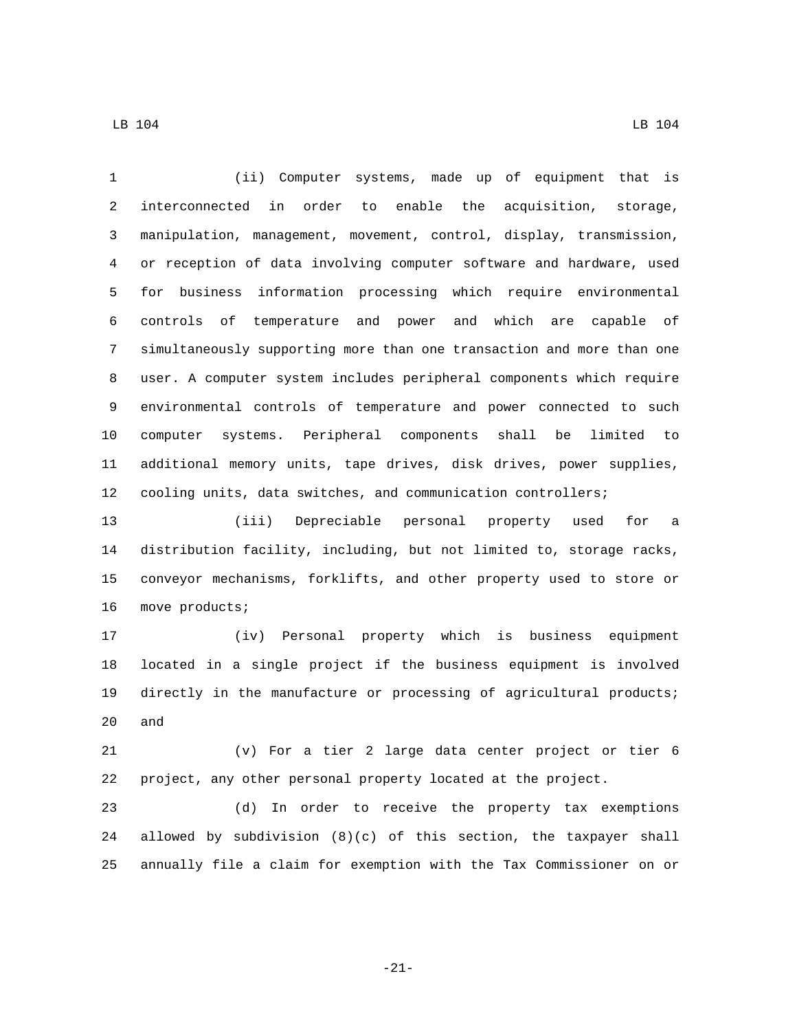(ii) Computer systems, made up of equipment that is interconnected in order to enable the acquisition, storage, manipulation, management, movement, control, display, transmission, or reception of data involving computer software and hardware, used for business information processing which require environmental controls of temperature and power and which are capable of simultaneously supporting more than one transaction and more than one user. A computer system includes peripheral components which require environmental controls of temperature and power connected to such computer systems. Peripheral components shall be limited to additional memory units, tape drives, disk drives, power supplies, cooling units, data switches, and communication controllers;

 (iii) Depreciable personal property used for a distribution facility, including, but not limited to, storage racks, conveyor mechanisms, forklifts, and other property used to store or 16 move products;

 (iv) Personal property which is business equipment located in a single project if the business equipment is involved directly in the manufacture or processing of agricultural products; and

 (v) For a tier 2 large data center project or tier 6 project, any other personal property located at the project.

 (d) In order to receive the property tax exemptions 24 allowed by subdivision  $(8)(c)$  of this section, the taxpayer shall annually file a claim for exemption with the Tax Commissioner on or

-21-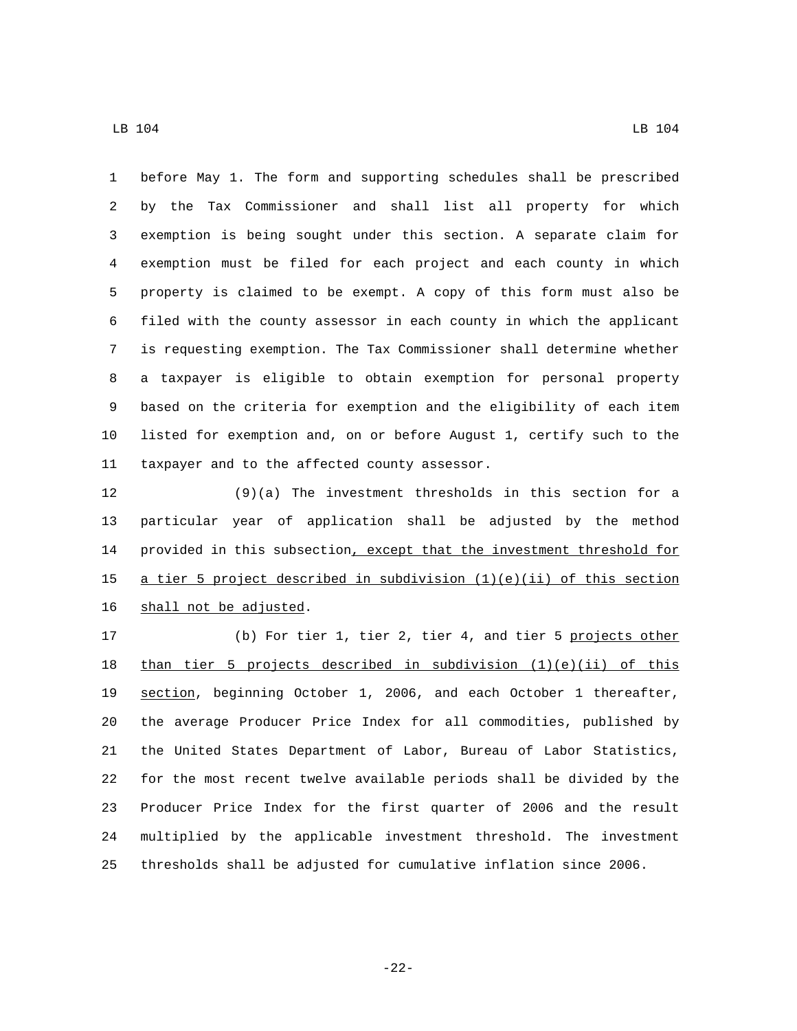before May 1. The form and supporting schedules shall be prescribed by the Tax Commissioner and shall list all property for which exemption is being sought under this section. A separate claim for exemption must be filed for each project and each county in which property is claimed to be exempt. A copy of this form must also be filed with the county assessor in each county in which the applicant is requesting exemption. The Tax Commissioner shall determine whether a taxpayer is eligible to obtain exemption for personal property based on the criteria for exemption and the eligibility of each item listed for exemption and, on or before August 1, certify such to the 11 taxpayer and to the affected county assessor.

 (9)(a) The investment thresholds in this section for a particular year of application shall be adjusted by the method 14 provided in this subsection, except that the investment threshold for 15 a tier 5 project described in subdivision  $(1)(e)(ii)$  of this section 16 shall not be adjusted.

 (b) For tier 1, tier 2, tier 4, and tier 5 projects other 18 than tier 5 projects described in subdivision  $(1)(e)(ii)$  of this section, beginning October 1, 2006, and each October 1 thereafter, the average Producer Price Index for all commodities, published by the United States Department of Labor, Bureau of Labor Statistics, for the most recent twelve available periods shall be divided by the Producer Price Index for the first quarter of 2006 and the result multiplied by the applicable investment threshold. The investment thresholds shall be adjusted for cumulative inflation since 2006.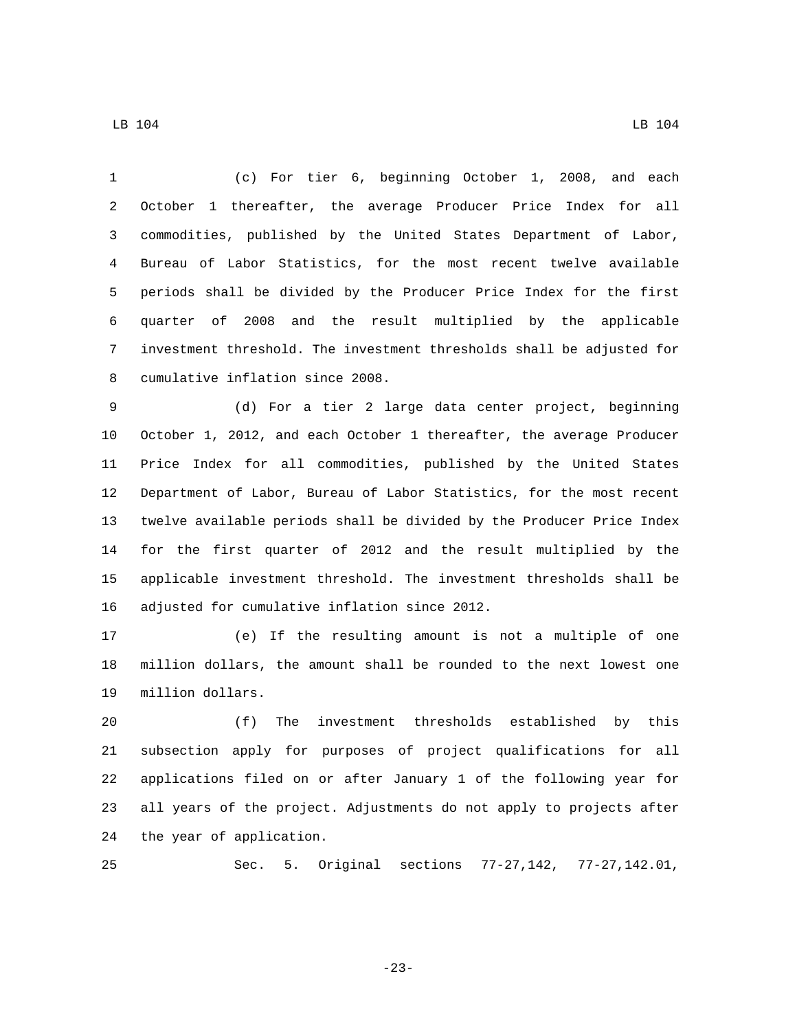(c) For tier 6, beginning October 1, 2008, and each October 1 thereafter, the average Producer Price Index for all commodities, published by the United States Department of Labor, Bureau of Labor Statistics, for the most recent twelve available periods shall be divided by the Producer Price Index for the first quarter of 2008 and the result multiplied by the applicable investment threshold. The investment thresholds shall be adjusted for 8 cumulative inflation since 2008.

 (d) For a tier 2 large data center project, beginning October 1, 2012, and each October 1 thereafter, the average Producer Price Index for all commodities, published by the United States Department of Labor, Bureau of Labor Statistics, for the most recent twelve available periods shall be divided by the Producer Price Index for the first quarter of 2012 and the result multiplied by the applicable investment threshold. The investment thresholds shall be 16 adjusted for cumulative inflation since 2012.

 (e) If the resulting amount is not a multiple of one million dollars, the amount shall be rounded to the next lowest one 19 million dollars.

 (f) The investment thresholds established by this subsection apply for purposes of project qualifications for all applications filed on or after January 1 of the following year for all years of the project. Adjustments do not apply to projects after 24 the year of application.

Sec. 5. Original sections 77-27,142, 77-27,142.01,

-23-